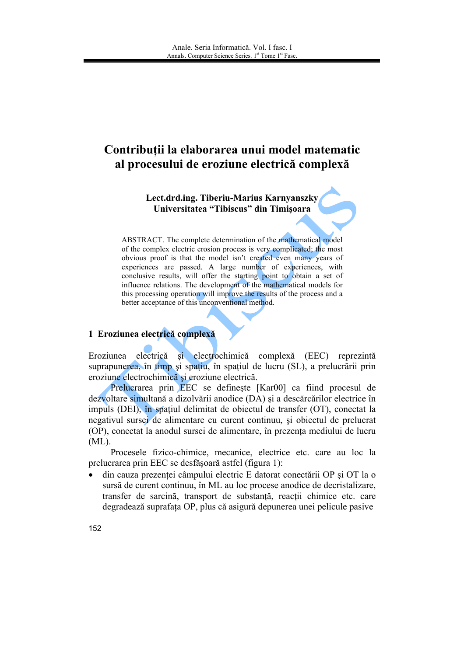# Contribuții la elaborarea unui model matematic al procesului de eroziune electrică complexă

Lect.drd.ing. Tiberiu-Marius Karnyanszky Universitatea "Tibiscus" din Timișoara

ABSTRACT. The complete determination of the mathematical model of the complex electric erosion process is very complicated; the most obvious proof is that the model isn't created even many years of experiences are passed. A large number of experiences, with conclusive results, will offer the starting point to obtain a set of influence relations. The development of the mathematical models for this processing operation will improve the results of the process and a better acceptance of this unconventional method.

## 1 Eroziunea electrică complexă

si electrochimică complexă (EEC) Eroziunea electrică reprezintă suprapunerea, în timp și spatiu, în spatiul de lucru (SL), a prelucrării prin eroziune electrochimică și eroziune electrică.

Prelucrarea prin EEC se defineste [Kar00] ca fiind procesul de dezvoltare simultană a dizolvării anodice (DA) și a descărcărilor electrice în impuls (DEI), în spatiul delimitat de objectul de transfer (OT), conectat la negativul sursei de alimentare cu curent continuu, și obiectul de prelucrat (OP), conectat la anodul sursei de alimentare, în prezenta mediului de lucru  $(ML)$ .

Procesele fizico-chimice, mecanice, electrice etc. care au loc la prelucrarea prin EEC se desfășoară astfel (figura 1):

din cauza prezentei câmpului electric E datorat conectării OP și OT la o  $\bullet$ sursă de curent continuu, în ML au loc procese anodice de decristalizare, transfer de sarcină, transport de substanță, reacții chimice etc. care degradează suprafața OP, plus că asigură depunerea unei pelicule pasive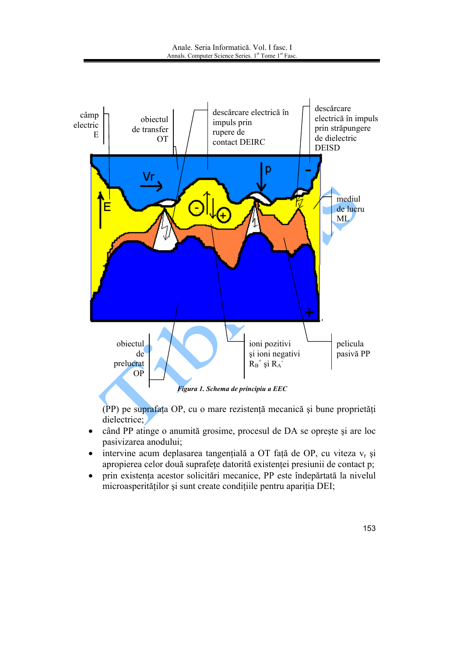

(PP) pe suprafata OP, cu o mare rezistentă mecanică și bune proprietăți dielectrice;

- când PP atinge o anumită grosime, procesul de DA se oprește și are loc  $\bullet$ pasivizarea anodului;
- intervine acum deplasarea tangențială a OT față de OP, cu viteza vr și apropierea celor două suprafețe datorită existenței presiunii de contact p;
- prin existenta acestor solicitări mecanice, PP este îndepărtată la nivelul  $\bullet$ microasperităților și sunt create condițiile pentru apariția DEI;

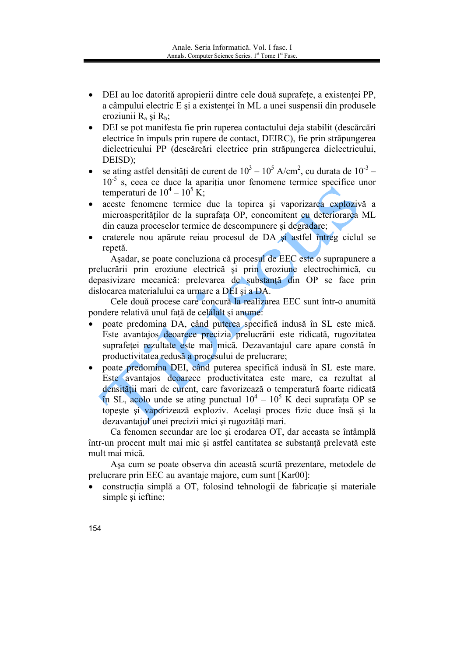- DEI au loc datorită apropierii dintre cele două suprafete, a existenței PP, a câmpului electric E și a existenței în ML a unei suspensii din produsele eroziunii  $R_a$  și  $R_b$ ;
- DEI se pot manifesta fie prin ruperea contactului deja stabilit (descărcări  $\bullet$ electrice în impuls prin rupere de contact, DEIRC), fie prin străpungerea dielectricului PP (descărcări electrice prin străpungerea dielectricului, DEISD):
- se ating astfel densități de curent de  $10^3 10^5$  A/cm<sup>2</sup>, cu durata de  $10^{-3}$   $\bullet$  $10^{-5}$  s, ceea ce duce la aparitia unor fenomene termice specifice unor temperaturi de  $10^4 - 10^5$  K;
- aceste fenomene termice duc la topirea si vaporizarea explozivă a microasperităților de la suprafața OP, concomitent cu deteriorarea ML din cauza proceselor termice de descompunere si degradare;
- craterele nou apărute reiau procesul de DA si astfel întreg ciclul se repetă.

Asadar, se poate concluziona că procesul de EEC este o suprapunere a prelucrării prin eroziune electrică și prin eroziune electrochimică, cu depasivizare mecanică: prelevarea de substanță din OP se face prin dislocarea materialului ca urmare a DEI și a DA.

Cele două procese care concură la realizarea EEC sunt într-o anumită pondere relativă unul fată de celălalt și anume:

- poate predomina DA, când puterea specifică indusă în SL este mică. Este avantajos deoarece precizia prelucrării este ridicată, rugozitatea suprafetei rezultate este mai mică. Dezavantajul care apare constă în productivitatea redusă a procesului de prelucrare;
- poate predomina DEI, când puterea specifică indusă în SL este mare. Este avantajos deoarece productivitatea este mare, ca rezultat al densității mari de curent, care favorizează o temperatură foarte ridicată în SL, acolo unde se ating punctual  $10^4 - 10^5$  K deci suprafata OP se topeste și vaporizează exploziv. Același proces fizic duce însă și la dezavantajul unei precizii mici și rugozități mari.

Ca fenomen secundar are loc și erodarea OT, dar aceasta se întâmplă într-un procent mult mai mic și astfel cantitatea se substanță prelevată este mult mai mică.

Așa cum se poate observa din această scurtă prezentare, metodele de prelucrare prin EEC au avantaje majore, cum sunt [Kar00]:

- construcția simplă a OT, folosind tehnologii de fabricație și materiale simple si ieftine;
- 154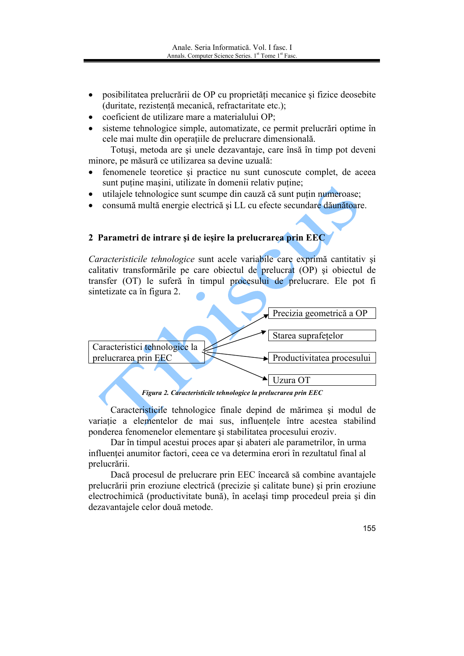- posibilitatea prelucrării de OP cu proprietăți mecanice și fizice deosebite  $\bullet$ (duritate, rezistență mecanică, refractaritate etc.);
- coeficient de utilizare mare a materialului OP:
- sisteme tehnologice simple, automatizate, ce permit prelucrări optime în cele mai multe din operațiile de prelucrare dimensională.

Totuși, metoda are și unele dezavantaje, care însă în timp pot deveni minore, pe măsură ce utilizarea sa devine uzuală:

- fenomenele teoretice si practice nu sunt cunoscute complet, de aceea  $\bullet$ sunt puține mașini, utilizate în domenii relativ puține;
- utilaiele tehnologice sunt scumpe din cauză că sunt putin numeroase:  $\bullet$
- consumă multă energie electrică și LL cu efecte secundare dăunătoare.  $\bullet$

## 2 Parametri de intrare și de iesire la prelucrarea prin EEC

Caracteristicile tehnologice sunt acele variabile care exprimă cantitativ și calitativ transformările pe care objectul de prelucrat (OP) si objectul de transfer (OT) le suferă în timpul procesului de prelucrare. Ele pot fi sintetizate ca în figura 2.



Figura 2. Caracteristicile tehnologice la prelucrarea prin EEC

Caracteristicile tehnologice finale depind de mărimea și modul de variație a elementelor de mai sus, influențele între acestea stabilind ponderea fenomenelor elementare si stabilitatea procesului eroziv.

Dar în timpul acestui proces apar și abateri ale parametrilor, în urma influenței anumitor factori, ceea ce va determina erori în rezultatul final al prelucrării.

Daçã procesul de prelucrare prin EEC încearcă să combine avantajele prelucrării prin eroziune electrică (precizie și calitate bune) și prin eroziune electrochimică (productivitate bună), în același timp procedeul preia și din dezavantajele celor două metode.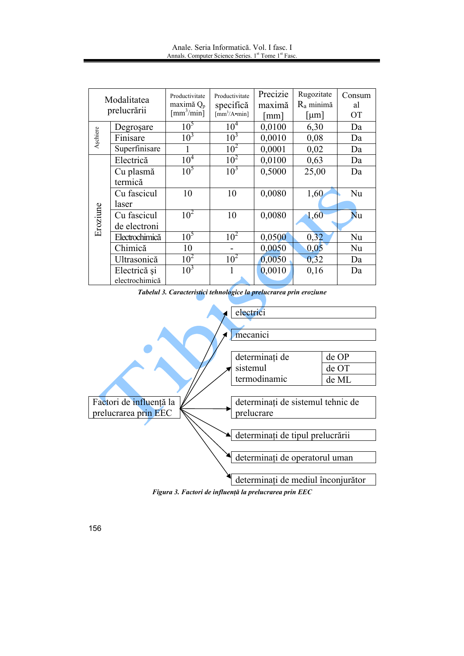| Anale, Seria Informatică, Vol. I fasc. I                                    |  |
|-----------------------------------------------------------------------------|--|
| Annals. Computer Science Series. 1 <sup>st</sup> Tome 1 <sup>st</sup> Fasc. |  |

|             |                |                                | Productivitate                                     | Precizie | Rugozitate            | Consum    |
|-------------|----------------|--------------------------------|----------------------------------------------------|----------|-----------------------|-----------|
| Modalitatea |                | Productivitate<br>maximă $Q_p$ | specifică                                          | maximă   | $R_a$ minimă          | al        |
| prelucrării |                | $\lceil$ mm <sup>3</sup> /min] | $\left[\text{mm}^3/\text{A}\cdot\text{min}\right]$ | mm       | $\lceil \mu m \rceil$ | <b>OT</b> |
|             |                |                                |                                                    |          |                       |           |
| Aşchiere    | Degroșare      | 10 <sup>5</sup>                | 10 <sup>4</sup>                                    | 0,0100   | 6,30                  | Da        |
|             | Finisare       | 10 <sup>3</sup>                | 10 <sup>3</sup>                                    | 0,0010   | 0,08                  | Da        |
|             | Superfinisare  |                                | 10 <sup>2</sup>                                    | 0,0001   | 0,02                  | Da        |
| Eroziune    | Electrică      | $10^{\overline{4}}$            | $10^{2}$                                           | 0,0100   | 0,63                  | Da        |
|             | Cu plasmă      | 10 <sup>5</sup>                | 10 <sup>3</sup>                                    | 0,5000   | 25,00                 | Da        |
|             | termică        |                                |                                                    |          |                       |           |
|             | Cu fascicul    | 10                             | 10                                                 | 0,0080   | 1,60                  | Nu        |
|             | laser          |                                |                                                    |          |                       |           |
|             | Cu fascicul    | 10 <sup>2</sup>                | 10                                                 | 0,0080   | 1,60                  | Nu        |
|             | de electroni   |                                |                                                    |          |                       |           |
|             | Electrochimică | 10 <sup>5</sup>                | 10 <sup>2</sup>                                    | 0,0500   | 0,32                  | Nu        |
|             | Chimică        | 10                             |                                                    | 0,0050   | 0,05                  | Nu        |
|             | Ultrasonică    | $10^{2}$                       | 10 <sup>2</sup>                                    | 0,0050   | 0,32                  | Da        |
|             | Electrică și   | 10 <sup>3</sup>                |                                                    | 0,0010   | 0,16                  | Da        |
|             | electrochimică |                                |                                                    |          |                       |           |

Tabelul 3. Caracteristici tehnologice la prelucrarea prin eroziune



Figura 3. Factori de influență la prelucrarea prin EEC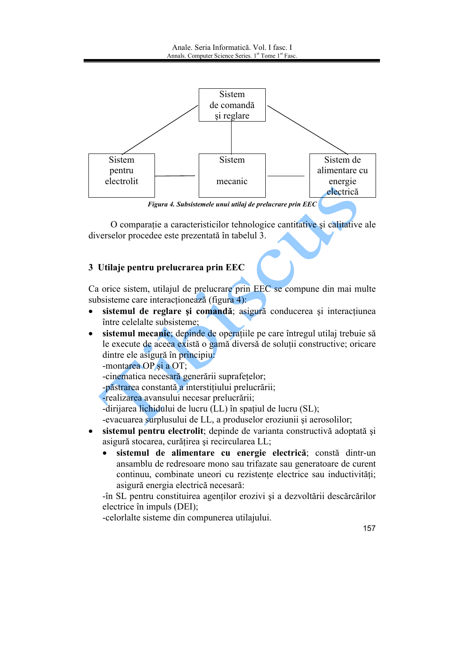

Figura 4. Subsistemele unui utilaj de prelucrare prin EEC

O comparație a caracteristicilor tehnologice cantitative și calitative ale diverselor procedee este prezentată în tabelul 3.

# 3 Utilaje pentru prelucrarea prin EEC

Ca orice sistem, utilajul de prelucrare prin EEC se compune din mai multe subsisteme care interacționează (figura 4):

- sistemul de reglare si comandă; asigură conducerea si interactiunea  $\bullet$ între celelalte subsisteme:
- sistemul mecanic; depinde de operațiile pe care întregul utilaj trebuie să  $\bullet$ le execute de aceea există o gamă diversă de soluții constructive; oricare dintre ele asigură în principiu.

-montarea OP și a OT;

-cinematica necesară generării suprafețelor;

-păstrarea constantă a interstițiului prelucrării;

-realizarea avansului necesar prelucrării:

-dirijarea lichidului de lucru (LL) în spatiul de lucru (SL);

-evacuarea surplusului de LL, a produselor eroziunii și aerosolilor;

- sistemul pentru electrolit; depinde de varianta constructivă adoptată si asigură stocarea, curățirea și recircularea LL;
	- sistemul de alimentare cu energie electrică; constă dintr-un ansamblu de redresoare mono sau trifazate sau generatoare de curent continuu, combinate uneori cu rezistente electrice sau inductivități; asigură energia electrică necesară:

-în SL pentru constituirea agentilor erozivi și a dezvoltării descărcărilor electrice în impuls (DEI);

-celorlalte sisteme din compunerea utilajului.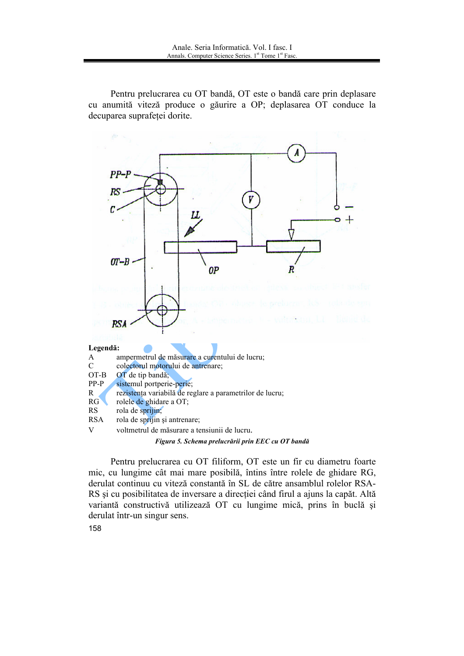Pentru prelucrarea cu OT bandă, OT este o bandă care prin deplasare cu anumită viteză produce o găurire a OP; deplasarea OT conduce la decuparea suprafetei dorite.



Figura 5. Schema prelucrării prin EEC cu OT bandă

Pentru prelucrarea cu OT filiform, OT este un fir cu diametru foarte mic, cu lungime cât mai mare posibilă, întins între rolele de ghidare RG, derulat continuu cu viteză constantă în SL de către ansamblul rolelor RSA-RS și cu posibilitatea de inversare a direcției când firul a ajuns la capăt. Altă variantă constructivă utilizează OT cu lungime mică, prins în buclă și derulat într-un singur sens.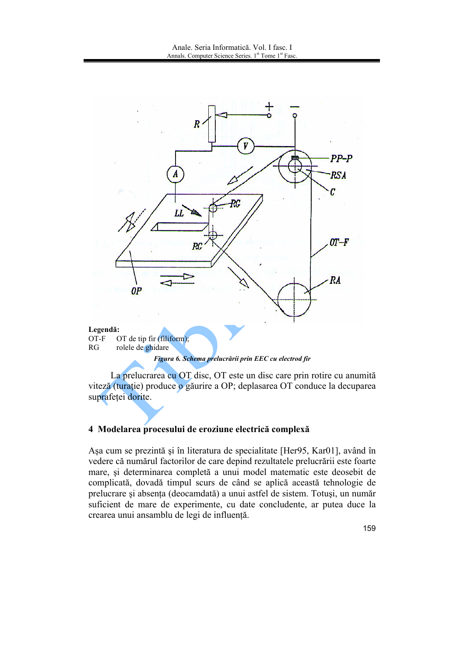

 $RG$ rolele de ghidare

Figura 6. Schema prelucrării prin EEC cu electrod fir

La prelucrarea cu OT disc, OT este un disc care prin rotire cu anumită viteză (turație) produce o găurire a OP; deplasarea OT conduce la decuparea suprafetei dorite.

### 4 Modelarea procesului de eroziune electrică complexă

Așa cum se prezintă și în literatura de specialitate [Her95, Kar01], având în vedere că numărul factorilor de care depind rezultatele prelucrării este foarte mare, și determinarea completă a unui model matematic este deosebit de complicată, dovadă timpul scurs de când se aplică această tehnologie de prelucrare și absența (deocamdată) a unui astfel de sistem. Totuși, un număr suficient de mare de experimente, cu date concludente, ar putea duce la crearea unui ansamblu de legi de influență.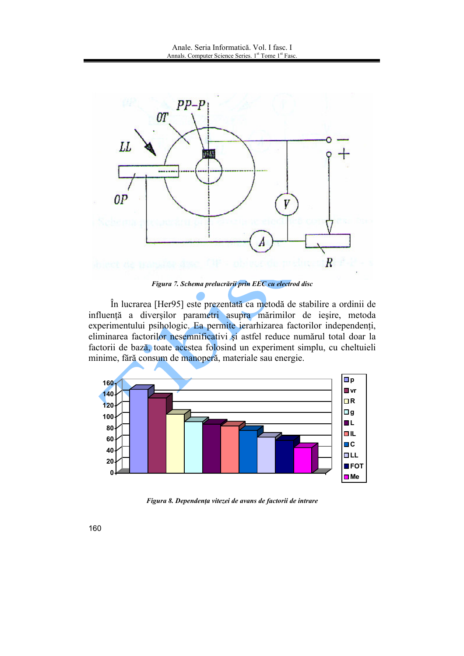

Figura 7. Schema prelucrării prin EEC cu electrod disc

În lucrarea [Her95] este prezentată ca metodă de stabilire a ordinii de influență a diverșilor parametri asupra mărimilor de ieșire, metoda experimentului psihologic. Ea permite ierarhizarea factorilor independenți, eliminarea factorilor nesemnificativi și astfel reduce numărul total doar la factorii de bază, toate acestea folosind un experiment simplu, cu cheltuieli minime, fără consum de manoperă, materiale sau energie.



Figura 8. Dependenta vitezei de avans de factorii de intrare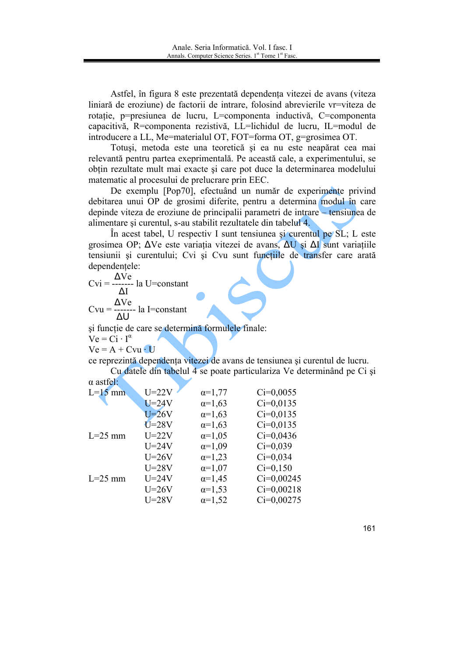Astfel, în figura 8 este prezentată dependența vitezei de avans (viteza liniară de eroziune) de factorii de intrare, folosind abrevierile vr=viteza de rotație, p=presiunea de lucru, L=componenta inductivă, C=componenta capacitivă, R=componenta rezistivă, LL=lichidul de lucru, IL=modul de introducere a LL, Me=materialul OT, FOT=forma OT, g=grosimea OT.

Totuși, metoda este una teoretică și ea nu este neapărat cea mai relevantă pentru partea exeprimentală. Pe această cale, a experimentului, se obțin rezultate mult mai exacte și care pot duce la determinarea modelului matematic al procesului de prelucrare prin EEC.

De exemplu [Pop70], efectuând un număr de experimente privind debitarea unui OP de grosimi diferite, pentru a determina modul în care depinde viteza de eroziune de principalii parametri de intrare – tensiunea de alimentare și curentul, s-au stabilit rezultatele din tabelul 4.

In acest tabel, U respectiv I sunt tensiunea și curentul pe  $SL$ ; L este grosimea OP;  $\Delta V$ e este variația vitezei de avans,  $\Delta U$  și  $\Delta I$  sunt variațiile tensiunii și curentului; Cvi și Cvu sunt funcțiile de transfer care arată dependențele:

 M 7777777 BM M 7777777 M 

și funcție de care se determină formulele finale:  $Ve = Ci \cdot I^{\alpha}$ 

 $Ve = A + Cvu \cdot U$ 

ce reprezintă dependența vitezei de avans de tensiunea și curentul de lucru. Cu datele din tabelul 4 se poate particulariza Ve determinând pe Ci și

 $\alpha$  astfel:

| $L=15$ mm | $U=22V$   | $\alpha = 1,77$ | $Ci=0,0055$  |
|-----------|-----------|-----------------|--------------|
|           | $U = 24V$ | $\alpha = 1,63$ | $Ci=0,0135$  |
|           | $U=26V$   | $\alpha = 1,63$ | $Ci=0,0135$  |
|           | $U=28V$   | $\alpha = 1,63$ | $Ci=0,0135$  |
| $L=25$ mm | $U=22V$   | $\alpha = 1,05$ | $Ci=0,0436$  |
|           | $U=24V$   | $\alpha=1,09$   | $Ci=0,039$   |
|           | $U=26V$   | $\alpha = 1,23$ | $Ci=0.034$   |
|           | $U=28V$   | $\alpha = 1,07$ | $Ci=0,150$   |
| $L=25$ mm | $U=24V$   | $\alpha = 1,45$ | $Ci=0,00245$ |
|           | $U=26V$   | $\alpha = 1,53$ | $Ci=0,00218$ |
|           | $U=28V$   | $\alpha = 1,52$ | $Ci=0,00275$ |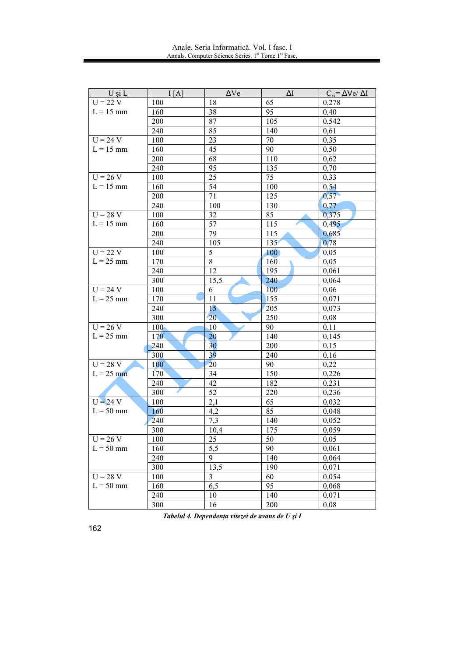| U și L      | I[A]             | $\Delta V$ e    | $\Delta I$ | $C_{vi} = \Delta Ve / \Delta I$ |
|-------------|------------------|-----------------|------------|---------------------------------|
| $U = 22 V$  | 100              | 18              | 65         | 0,278                           |
| $L = 15$ mm | 160              | 38              | 95         | 0,40                            |
|             | 200              | 87              | 105        | 0,542                           |
|             | 240              | 85              | 140        | 0,61                            |
| $U = 24 V$  | 100              | 23              | 70         | 0,35                            |
| $L = 15$ mm | 160              | 45              | 90         | 0,50                            |
|             | 200              | 68              | 110        | 0,62                            |
|             | 240              | 95              | 135        | 0,70                            |
| $U = 26 V$  | 100              | 25              | 75         | 0,33                            |
| $L = 15$ mm | 160              | 54              | 100        | 0,54                            |
|             | 200              | 71              | 125        | 0,57                            |
|             | 240              | 100             | 130        | 0,77                            |
| $U = 28 V$  | 100              | 32              | 85         | 0,375                           |
| $L = 15$ mm | 160              | 57              | 115        | 0,495                           |
|             | 200              | 79              | 115        | 0,685                           |
|             | 240              | 105             | 135'       | 0,78                            |
| $U = 22 V$  | 100              | 5               | 100        | 0,05                            |
| $L = 25$ mm | 170              | 8               | 160        | 0,05                            |
|             | 240              | 12              | 195        | 0,061                           |
|             | 300              | 15,5            | 240        | 0,064                           |
| $U = 24 V$  | 100              | 6               | 100        | 0,06                            |
| $L = 25$ mm | 170              | 11              | 155        | 0,071                           |
|             | 240              | 15 <sup>°</sup> | 205        | 0.073                           |
|             | 300              | 20              | 250        | 0,08                            |
| $U = 26 V$  | 100 <sub>1</sub> | 10              | 90         | 0,11                            |
| $L = 25$ mm | 170              | 20              | 140        | 0,145                           |
|             | 240              | 30              | 200        | 0,15                            |
|             | 300              | 39              | 240        | 0,16                            |
| $U = 28 V$  | 100              | 20              | 90         | 0,22                            |
| $L = 25$ mm | 170              | 34              | 150        | 0,226                           |
|             | 240              | 42              | 182        | 0,231                           |
|             | 300              | 52              | 220        | 0,236                           |
| $U = 24 V$  | 100              | 2,1             | 65         | 0,032                           |
| $L = 50$ mm | 160              | 4,2             | 85         | 0.048                           |
|             | 240              | 7,3             | 140        | 0,052                           |
|             | 300              | 10,4            | 175        | 0,059                           |
| $U = 26 V$  | 100              | 25              | 50         | 0,05                            |
| $L = 50$ mm | 160              | 5,5             | 90         | 0,061                           |
|             | 240              | 9               | 140        | 0,064                           |
|             | 300              | 13,5            | 190        | 0,071                           |
| $U = 28 V$  | 100              | $\overline{3}$  | 60         | 0,054                           |
| $L = 50$ mm | 160              | 6,5             | 95         | 0,068                           |
|             | 240              | 10              | 140        | 0,071                           |
|             | 300              | 16              | 200        | 0,08                            |

Tabelul 4. Dependența vitezei de avans de U și I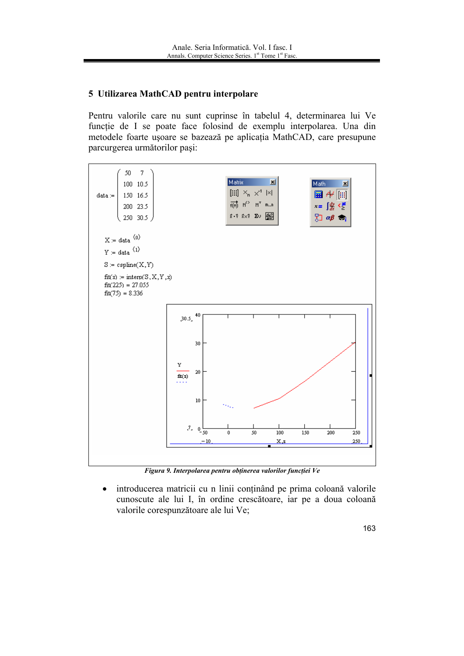# 5 Utilizarea MathCAD pentru interpolare

Pentru valorile care nu sunt cuprinse în tabelul 4, determinarea lui Ve functie de I se poate face folosind de exemplu interpolarea. Una din metodele foarte ușoare se bazează pe aplicația MathCAD, care presupune parcurgerea următorilor pași:



Figura 9. Interpolarea pentru obținerea valorilor funcției Ve

introducerea matricii cu n linii conținând pe prima coloană valorile  $\bullet$ cunoscute ale lui I, în ordine crescătoare, iar pe a doua coloană valorile corespunzătoare ale lui Ve;